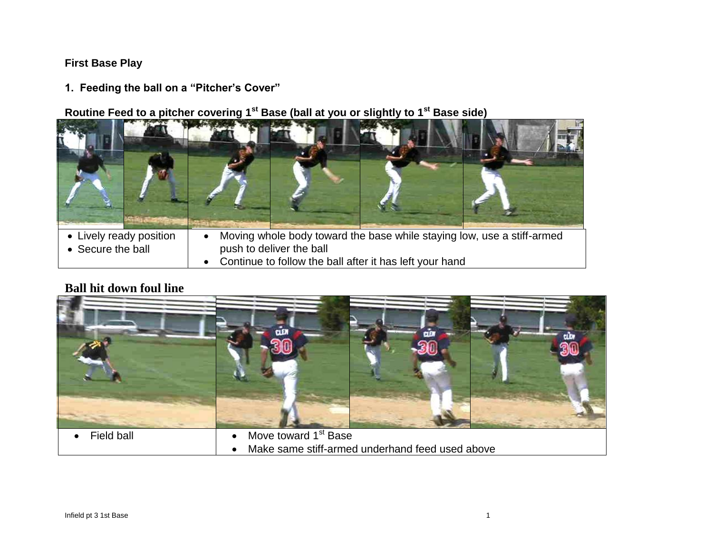### **First Base Play**

**1. Feeding the ball on a "Pitcher's Cover"**

**Routine Feed to a pitcher covering 1st Base (ball at you or slightly to 1st Base side)**



- Secure the ball
- Moving whole body toward the base while staying low, use a stiff-armed push to deliver the ball
- Continue to follow the ball after it has left your hand

## **Ball hit down foul line**



Make same stiff-armed underhand feed used above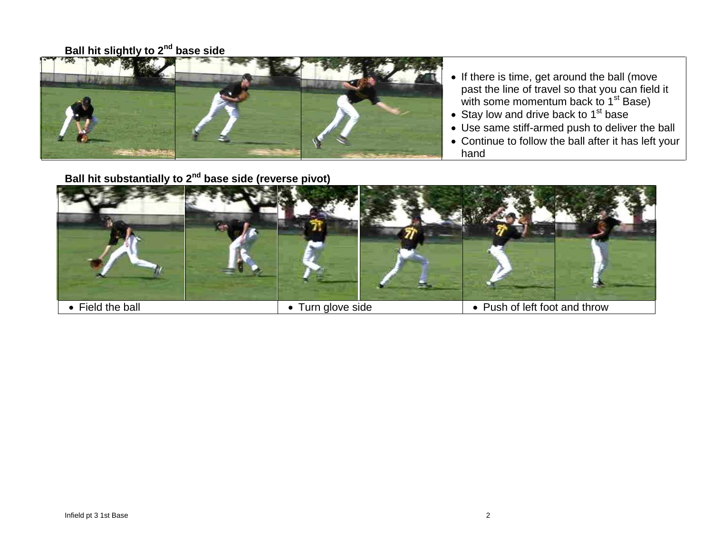# **Ball hit slightly to 2nd base side**



- If there is time, get around the ball (move past the line of travel so that you can field it with some momentum back to 1<sup>st</sup> Base)
- Stay low and drive back to  $1<sup>st</sup>$  base
- Use same stiff-armed push to deliver the ball
- Continue to follow the ball after it has left your hand

# **Ball hit substantially to 2nd base side (reverse pivot)**

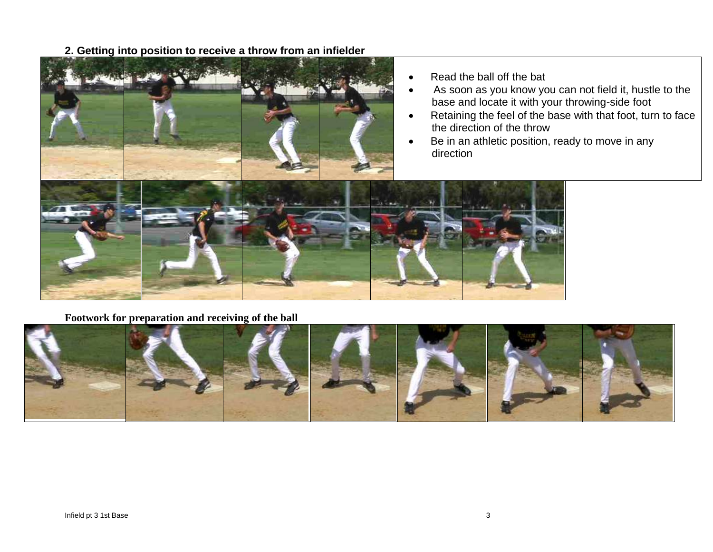**2. Getting into position to receive a throw from an infielder**



- Read the ball off the bat
- As soon as you know you can not field it, hustle to the base and locate it with your throwing-side foot
- Retaining the feel of the base with that foot, turn to face the direction of the throw
- Be in an athletic position, ready to move in any direction



**Footwork for preparation and receiving of the ball**

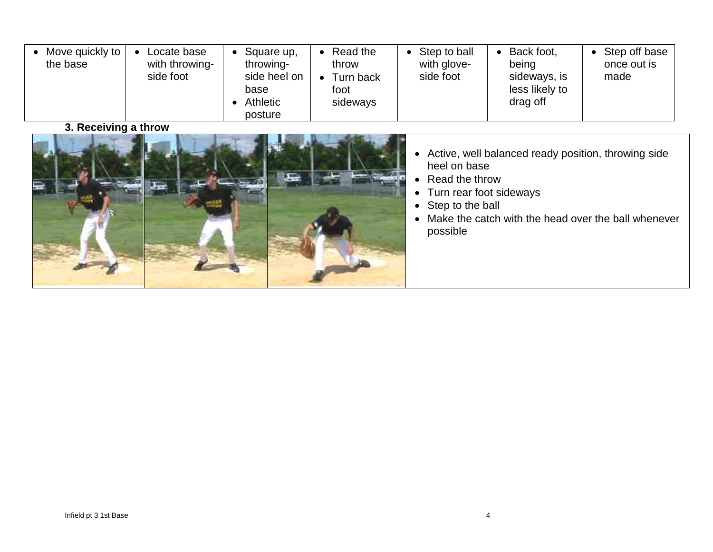| Move quickly to  <br>Locate base<br>with throwing-<br>the base<br>side foot | Square up,<br>throwing-<br>side heel on<br>base<br><b>Athletic</b><br>posture | Read the<br>throw<br>Turn back<br>foot<br>sideways | Step to ball<br>with glove-<br>side foot | Back foot,<br>being<br>sideways, is<br>less likely to<br>drag off | Step off base<br>once out is<br>made |
|-----------------------------------------------------------------------------|-------------------------------------------------------------------------------|----------------------------------------------------|------------------------------------------|-------------------------------------------------------------------|--------------------------------------|
|-----------------------------------------------------------------------------|-------------------------------------------------------------------------------|----------------------------------------------------|------------------------------------------|-------------------------------------------------------------------|--------------------------------------|

**3. Receiving a throw**



- Active, well balanced ready position, throwing side heel on base
- Read the throw
- Turn rear foot sideways
- Step to the ball
- Make the catch with the head over the ball whenever possible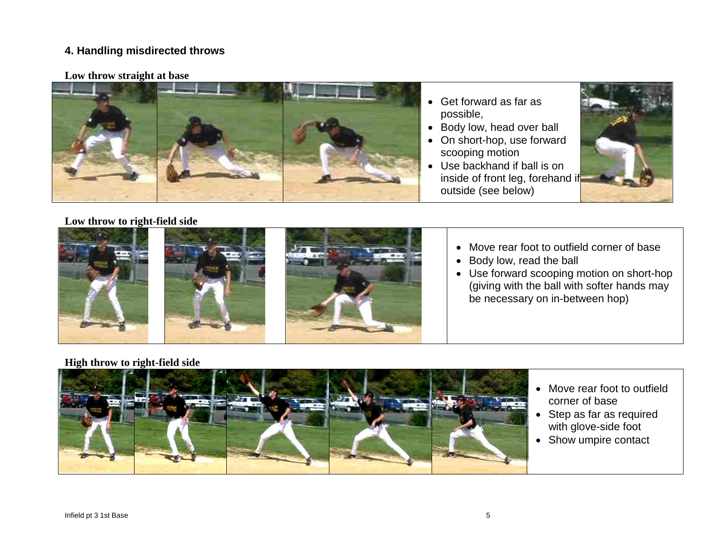### **4. Handling misdirected throws**

#### **Low throw straight at base**



- Get forward as far as possible,
- Body low, head over ball
- On short-hop, use forward scooping motion
- Use backhand if ball is on inside of front leg, forehand if outside (see below)



#### **Low throw to right-field side**







- Move rear foot to outfield corner of base
- Body low, read the ball
- Use forward scooping motion on short-hop (giving with the ball with softer hands may be necessary on in-between hop)

**High throw to right-field side**



- Move rear foot to outfield corner of base
- Step as far as required with glove-side foot
- Show umpire contact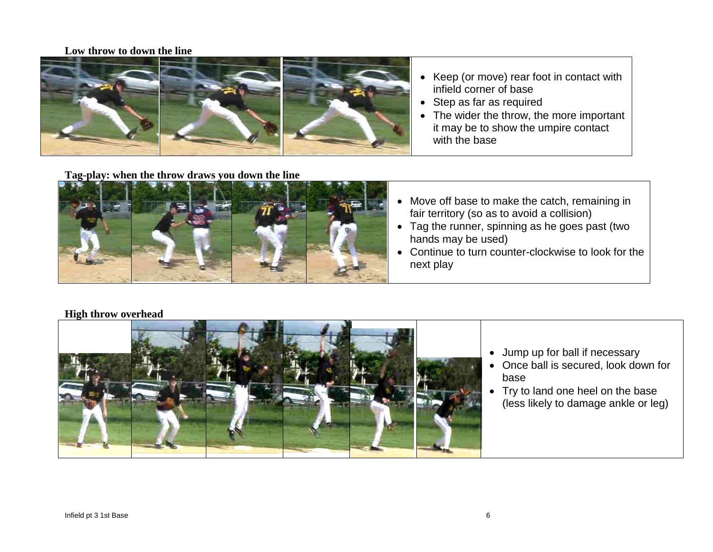#### **Low throw to down the line**



- Keep (or move) rear foot in contact with infield corner of base
- Step as far as required
- The wider the throw, the more important it may be to show the umpire contact with the base

#### **Tag-play: when the throw draws you down the line**



- Move off base to make the catch, remaining in fair territory (so as to avoid a collision)
- Tag the runner, spinning as he goes past (two hands may be used)
- Continue to turn counter-clockwise to look for the next play

#### **High throw overhead**



- Jump up for ball if necessary
- Once ball is secured, look down for base
- Try to land one heel on the base (less likely to damage ankle or leg)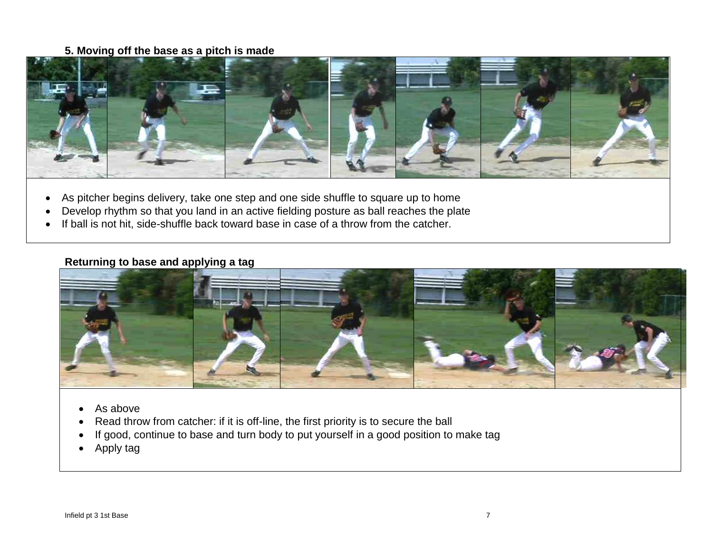#### **5. Moving off the base as a pitch is made**



- As pitcher begins delivery, take one step and one side shuffle to square up to home
- Develop rhythm so that you land in an active fielding posture as ball reaches the plate
- If ball is not hit, side-shuffle back toward base in case of a throw from the catcher.

#### **Returning to base and applying a tag**



- As above
- Read throw from catcher: if it is off-line, the first priority is to secure the ball
- If good, continue to base and turn body to put yourself in a good position to make tag
- Apply tag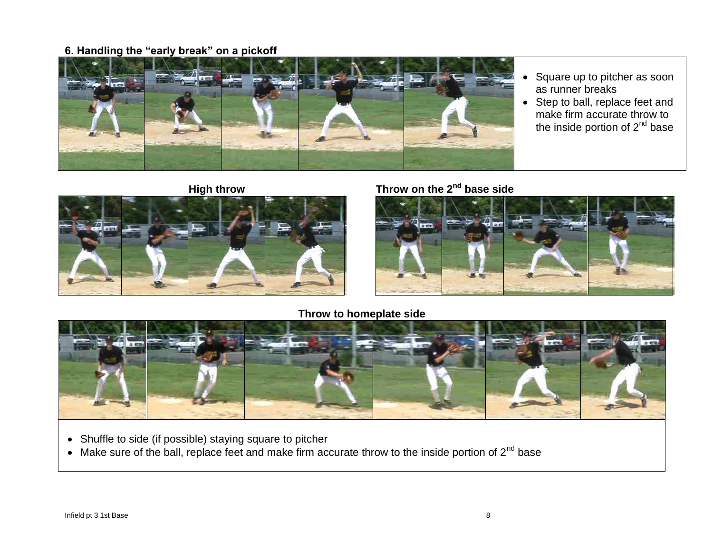### **6. Handling the "early break" on a pickoff**



- Square up to pitcher as soon as runner breaks
- Step to ball, replace feet and make firm accurate throw to the inside portion of 2<sup>nd</sup> base





# **High throw Throw on the 2nd base side**



#### **Throw to homeplate side**



- Shuffle to side (if possible) staying square to pitcher
- $\bullet$  Make sure of the ball, replace feet and make firm accurate throw to the inside portion of 2<sup>nd</sup> base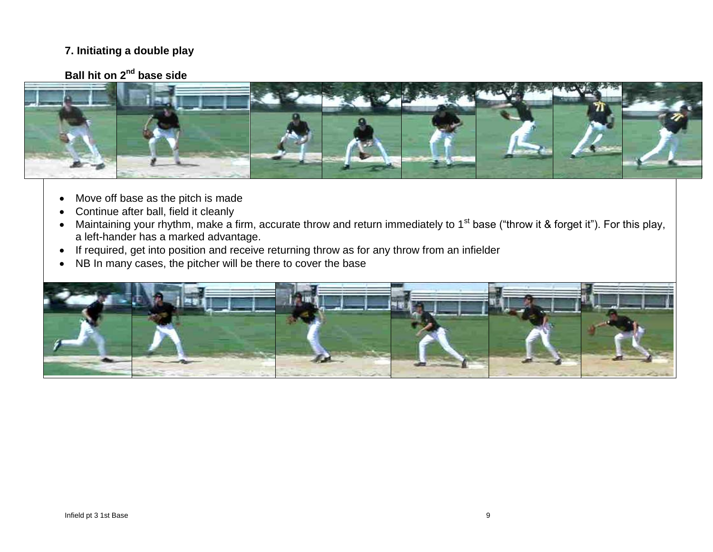### **7. Initiating a double play**

# **Ball hit on 2nd base side**



- Move off base as the pitch is made
- Continue after ball, field it cleanly
- Maintaining your rhythm, make a firm, accurate throw and return immediately to 1<sup>st</sup> base ("throw it & forget it"). For this play, a left-hander has a marked advantage.
- If required, get into position and receive returning throw as for any throw from an infielder
- NB In many cases, the pitcher will be there to cover the base

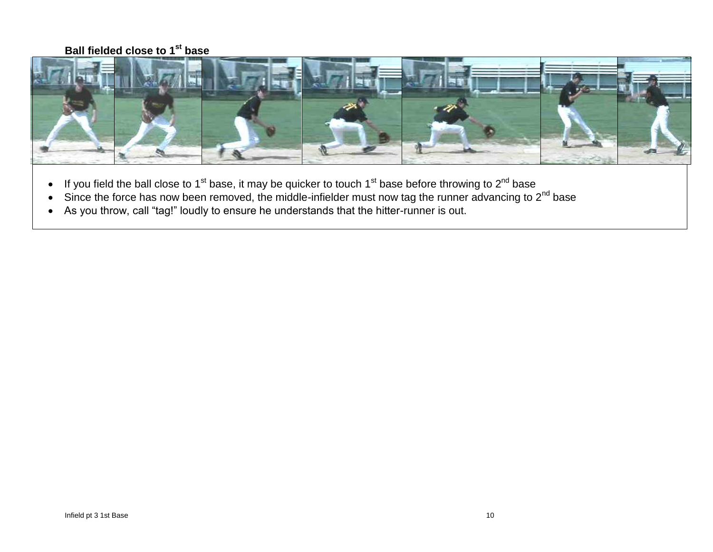### **Ball fielded close to 1st base**



- If you field the ball close to 1<sup>st</sup> base, it may be quicker to touch 1<sup>st</sup> base before throwing to 2<sup>nd</sup> base
- $\bullet$  Since the force has now been removed, the middle-infielder must now tag the runner advancing to 2<sup>nd</sup> base
- As you throw, call "tag!" loudly to ensure he understands that the hitter-runner is out.